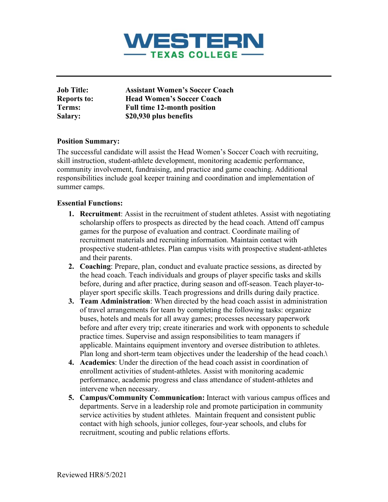

| <b>Job Title:</b>  | <b>Assistant Women's Soccer Coach</b> |
|--------------------|---------------------------------------|
| <b>Reports to:</b> | <b>Head Women's Soccer Coach</b>      |
| Terms:             | <b>Full time 12-month position</b>    |
| <b>Salary:</b>     | \$20,930 plus benefits                |

## **Position Summary:**

The successful candidate will assist the Head Women's Soccer Coach with recruiting, skill instruction, student-athlete development, monitoring academic performance, community involvement, fundraising, and practice and game coaching. Additional responsibilities include goal keeper training and coordination and implementation of summer camps.

## **Essential Functions:**

- **1. Recruitment**: Assist in the recruitment of student athletes. Assist with negotiating scholarship offers to prospects as directed by the head coach. Attend off campus games for the purpose of evaluation and contract. Coordinate mailing of recruitment materials and recruiting information. Maintain contact with prospective student-athletes. Plan campus visits with prospective student-athletes and their parents.
- **2. Coaching**: Prepare, plan, conduct and evaluate practice sessions, as directed by the head coach. Teach individuals and groups of player specific tasks and skills before, during and after practice, during season and off-season. Teach player-toplayer sport specific skills. Teach progressions and drills during daily practice.
- **3. Team Administration**: When directed by the head coach assist in administration of travel arrangements for team by completing the following tasks: organize buses, hotels and meals for all away games; processes necessary paperwork before and after every trip; create itineraries and work with opponents to schedule practice times. Supervise and assign responsibilities to team managers if applicable. Maintains equipment inventory and oversee distribution to athletes. Plan long and short-term team objectives under the leadership of the head coach.**\**
- **4. Academics**: Under the direction of the head coach assist in coordination of enrollment activities of student-athletes. Assist with monitoring academic performance, academic progress and class attendance of student-athletes and intervene when necessary.
- **5. Campus/Community Communication:** Interact with various campus offices and departments. Serve in a leadership role and promote participation in community service activities by student athletes. Maintain frequent and consistent public contact with high schools, junior colleges, four-year schools, and clubs for recruitment, scouting and public relations efforts.